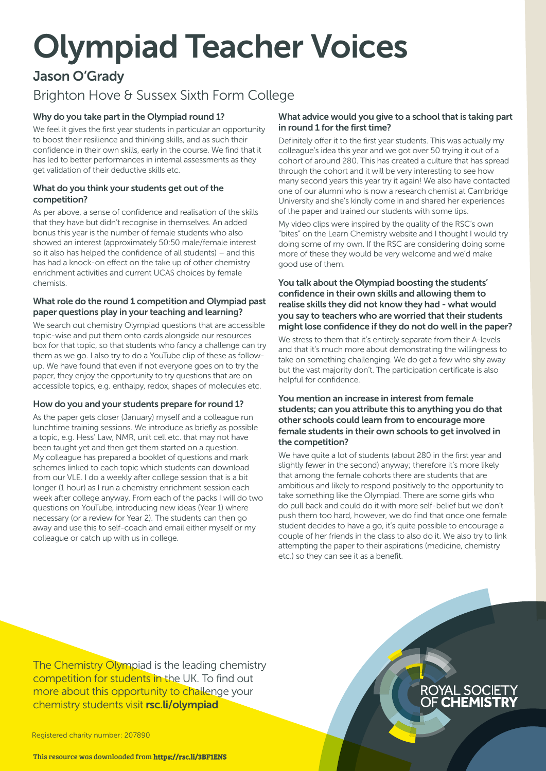# Olympiad Teacher Voices

## Jason O'Grady

# Brighton Hove & Sussex Sixth Form College

## Why do you take part in the Olympiad round 1?

We feel it gives the first year students in particular an opportunity to boost their resilience and thinking skills, and as such their confidence in their own skills, early in the course. We find that it has led to better performances in internal assessments as they get validation of their deductive skills etc.

#### What do you think your students get out of the competition?

As per above, a sense of confidence and realisation of the skills that they have but didn't recognise in themselves. An added bonus this year is the number of female students who also showed an interest (approximately 50:50 male/female interest so it also has helped the confidence of all students) – and this has had a knock-on effect on the take up of other chemistry enrichment activities and current UCAS choices by female chemists.

### What role do the round 1 competition and Olympiad past paper questions play in your teaching and learning?

We search out chemistry Olympiad questions that are accessible topic-wise and put them onto cards alongside our resources box for that topic, so that students who fancy a challenge can try them as we go. I also try to do a YouTube clip of these as followup. We have found that even if not everyone goes on to try the paper, they enjoy the opportunity to try questions that are on accessible topics, e.g. enthalpy, redox, shapes of molecules etc.

### How do you and your students prepare for round 1?

As the paper gets closer (January) myself and a colleague run lunchtime training sessions. We introduce as briefly as possible a topic, e.g. Hess' Law, NMR, unit cell etc. that may not have been taught yet and then get them started on a question. My colleague has prepared a booklet of questions and mark schemes linked to each topic which students can download from our VLE. I do a weekly after college session that is a bit longer (1 hour) as I run a chemistry enrichment session each week after college anyway. From each of the packs I will do two questions on YouTube, introducing new ideas (Year 1) where necessary (or a review for Year 2). The students can then go away and use this to self-coach and email either myself or my colleague or catch up with us in college.

#### What advice would you give to a school that is taking part in round 1 for the first time?

Definitely offer it to the first year students. This was actually my colleague's idea this year and we got over 50 trying it out of a cohort of around 280. This has created a culture that has spread through the cohort and it will be very interesting to see how many second years this year try it again! We also have contacted one of our alumni who is now a research chemist at Cambridge University and she's kindly come in and shared her experiences of the paper and trained our students with some tips.

My video clips were inspired by the quality of the RSC's own "bites" on the Learn Chemistry website and I thought I would try doing some of my own. If the RSC are considering doing some more of these they would be very welcome and we'd make good use of them.

#### You talk about the Olympiad boosting the students' confidence in their own skills and allowing them to realise skills they did not know they had - what would you say to teachers who are worried that their students might lose confidence if they do not do well in the paper?

We stress to them that it's entirely separate from their A-levels and that it's much more about demonstrating the willingness to take on something challenging. We do get a few who shy away but the vast majority don't. The participation certificate is also helpful for confidence.

#### You mention an increase in interest from female students; can you attribute this to anything you do that other schools could learn from to encourage more female students in their own schools to get involved in the competition?

We have quite a lot of students (about 280 in the first year and slightly fewer in the second) anyway; therefore it's more likely that among the female cohorts there are students that are ambitious and likely to respond positively to the opportunity to take something like the Olympiad. There are some girls who do pull back and could do it with more self-belief but we don't push them too hard, however, we do find that once one female student decides to have a go, it's quite possible to encourage a couple of her friends in the class to also do it. We also try to link attempting the paper to their aspirations (medicine, chemistry etc.) so they can see it as a benefit.

The Chemistry Olympiad is the leading chemistry competition for students in the UK. To find out more about this opportunity to challenge your chemistry students visit [rsc.li/olympiad](http://www.rsc.org/campaigning-outreach/outreach/educators/uk-chemistry-olympiad/)

Registered charity number: 207890